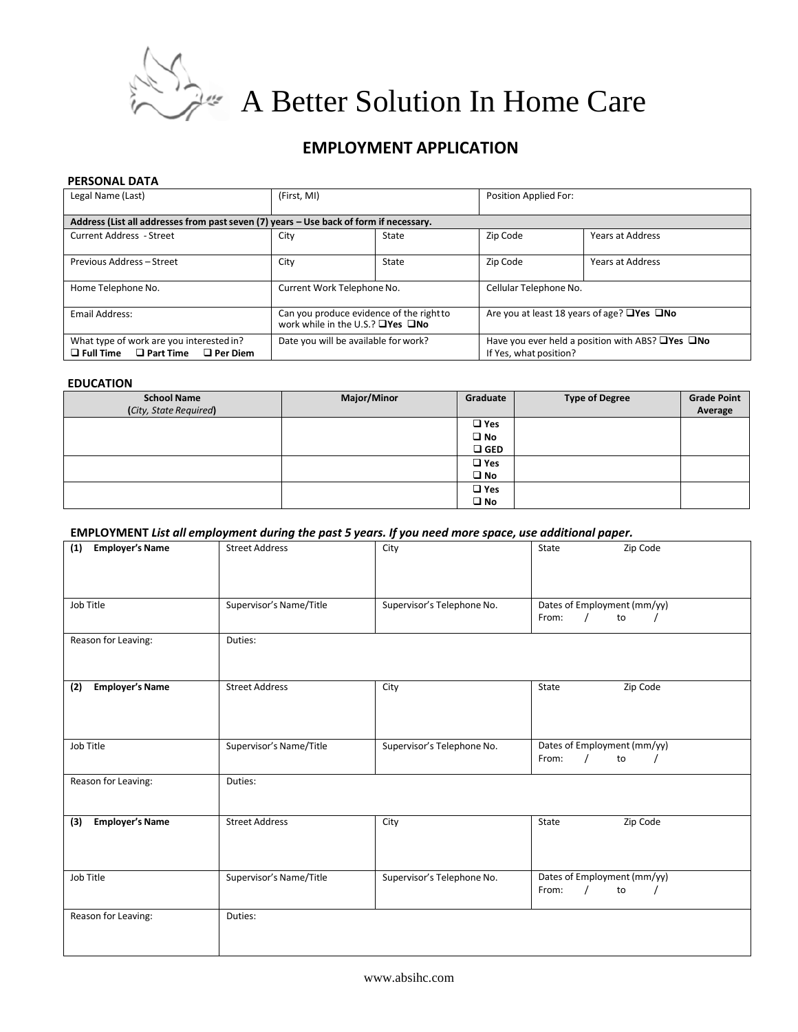

 $\mathcal{A}$  A Better Solution In Home Care

# **EMPLOYMENT APPLICATION**

#### **PERSONAL DATA**

| Legal Name (Last)                                                                                   | (First, MI)                                                                              |       | Position Applied For:                                                                        |                         |
|-----------------------------------------------------------------------------------------------------|------------------------------------------------------------------------------------------|-------|----------------------------------------------------------------------------------------------|-------------------------|
| Address (List all addresses from past seven (7) years - Use back of form if necessary.              |                                                                                          |       |                                                                                              |                         |
| <b>Current Address - Street</b>                                                                     | City                                                                                     | State | Zip Code                                                                                     | <b>Years at Address</b> |
| Previous Address - Street                                                                           | City                                                                                     | State | Zip Code                                                                                     | <b>Years at Address</b> |
| Home Telephone No.                                                                                  | Current Work Telephone No.                                                               |       | Cellular Telephone No.                                                                       |                         |
| Email Address:                                                                                      | Can you produce evidence of the right to<br>work while in the U.S.? $\Box$ Yes $\Box$ No |       | Are you at least 18 years of age? $\Box$ Yes $\Box$ No                                       |                         |
| What type of work are you interested in?<br>$\Box$ Full Time<br>$\Box$ Part Time<br>$\Box$ Per Diem | Date you will be available for work?                                                     |       | Have you ever held a position with ABS? $\square$ Yes $\square$ No<br>If Yes, what position? |                         |

#### **EDUCATION**

| <b>School Name</b>     | <b>Major/Minor</b> | Graduate      | <b>Type of Degree</b> | <b>Grade Point</b> |
|------------------------|--------------------|---------------|-----------------------|--------------------|
| (City, State Required) |                    |               |                       | Average            |
|                        |                    | $\square$ Yes |                       |                    |
|                        |                    | $\square$ No  |                       |                    |
|                        |                    | $\square$ GED |                       |                    |
|                        |                    | $\square$ Yes |                       |                    |
|                        |                    | $\square$ No  |                       |                    |
|                        |                    | $\square$ Yes |                       |                    |
|                        |                    | $\square$ No  |                       |                    |

## **EMPLOYMENT** *List all employment during the past 5 years. If you need more space, use additional paper.*

| <b>Employer's Name</b><br>(1) | <b>Street Address</b>   | City                       | Zip Code<br>State                          |
|-------------------------------|-------------------------|----------------------------|--------------------------------------------|
|                               |                         |                            |                                            |
| Job Title                     | Supervisor's Name/Title | Supervisor's Telephone No. | Dates of Employment (mm/yy)                |
|                               |                         |                            | From:<br>$\prime$<br>to                    |
| Reason for Leaving:           | Duties:                 |                            |                                            |
|                               |                         |                            |                                            |
| <b>Employer's Name</b><br>(2) | <b>Street Address</b>   | City                       | Zip Code<br>State                          |
|                               |                         |                            |                                            |
|                               |                         |                            |                                            |
| Job Title                     | Supervisor's Name/Title | Supervisor's Telephone No. | Dates of Employment (mm/yy)<br>to<br>From: |
|                               |                         |                            |                                            |
| Reason for Leaving:           | Duties:                 |                            |                                            |
|                               |                         |                            |                                            |
| <b>Employer's Name</b><br>(3) | <b>Street Address</b>   | City                       | State<br>Zip Code                          |
|                               |                         |                            |                                            |
| Job Title                     | Supervisor's Name/Title | Supervisor's Telephone No. | Dates of Employment (mm/yy)                |
|                               |                         |                            | to<br>From:                                |
| Reason for Leaving:           | Duties:                 |                            |                                            |
|                               |                         |                            |                                            |
|                               |                         |                            |                                            |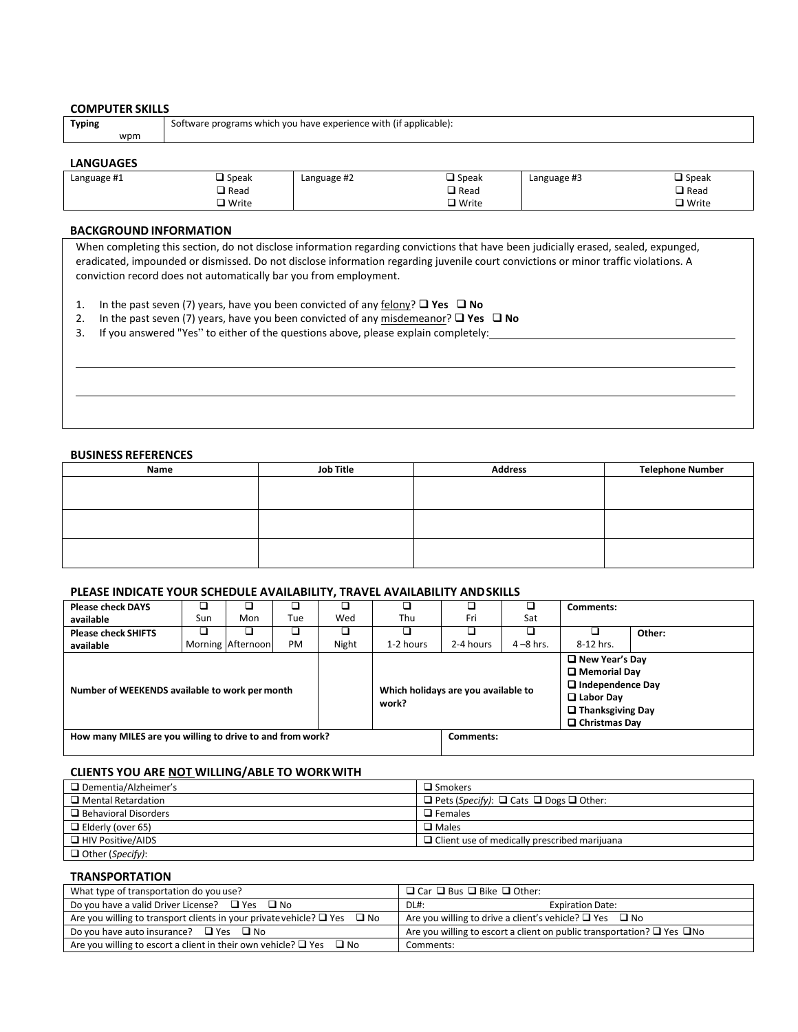| <b>COMPUTER SKILLS</b> |                                                                   |
|------------------------|-------------------------------------------------------------------|
| Typing                 | Software programs which you have experience with (if applicable): |
| wpm                    |                                                                   |
|                        |                                                                   |

#### **LANGUAGES**

| Language #1 | $\square$ Speak | Language #2 | $\Box$ Speak    | Language #3 | $\square$ Speak |
|-------------|-----------------|-------------|-----------------|-------------|-----------------|
|             | $\Box$ Read     |             | $\square$ Read  |             | $\square$ Read  |
|             | $\Box$ Write    |             | $\square$ Write |             | $\Box$ Write    |

#### **BACKGROUND INFORMATION**

When completing this section, do not disclose information regarding convictions that have been judicially erased, sealed, expunged, eradicated, impounded or dismissed. Do not disclose information regarding juvenile court convictions or minor traffic violations. A conviction record does not automatically bar you from employment.

- 1. In the past seven (7) years, have you been convicted of any felony? **Yes No**
- 2. In the past seven (7) years, have you been convicted of any misdemeanor? **□ Yes □ No**
- 3. If you answered "Yes" to either of the questions above, please explain completely:

#### **BUSINESS REFERENCES**

| Name | <b>Job Title</b> | <b>Address</b> | <b>Telephone Number</b> |
|------|------------------|----------------|-------------------------|
|      |                  |                |                         |
|      |                  |                |                         |
|      |                  |                |                         |
|      |                  |                |                         |
|      |                  |                |                         |
|      |                  |                |                         |
|      |                  |                |                         |
|      |                  |                |                         |

#### **PLEASE INDICATE YOUR SCHEDULE AVAILABILITY, TRAVEL AVAILABILITY ANDSKILLS**

| <b>Please check DAYS</b>                                  |     |                   |     |       |                                              |           |              | Comments:                                                                                                                                         |        |
|-----------------------------------------------------------|-----|-------------------|-----|-------|----------------------------------------------|-----------|--------------|---------------------------------------------------------------------------------------------------------------------------------------------------|--------|
| available                                                 | Sun | Mon               | Tue | Wed   | Thu                                          | Fri       | Sat          |                                                                                                                                                   |        |
| <b>Please check SHIFTS</b>                                |     |                   |     |       |                                              |           |              |                                                                                                                                                   | Other: |
| available                                                 |     | Morning Afternoon | PM  | Night | 1-2 hours                                    | 2-4 hours | $4 - 8$ hrs. | 8-12 hrs.                                                                                                                                         |        |
| Number of WEEKENDS available to work per month            |     |                   |     |       | Which holidays are you available to<br>work? |           |              | $\Box$ New Year's Day<br>$\square$ Memorial Day<br>$\Box$ Independence Day<br>$\Box$ Labor Day<br>$\Box$ Thanksgiving Day<br>$\Box$ Christmas Day |        |
| How many MILES are you willing to drive to and from work? |     |                   |     |       |                                              | Comments: |              |                                                                                                                                                   |        |

### **CLIENTS YOU ARE NOT WILLING/ABLE TO WORKWITH**

| Dementia/Alzheimer's        | $\square$ Smokers                                            |
|-----------------------------|--------------------------------------------------------------|
| $\Box$ Mental Retardation   | $\Box$ Pets (Specify): $\Box$ Cats $\Box$ Dogs $\Box$ Other: |
| $\Box$ Behavioral Disorders | $\Box$ Females                                               |
| $\Box$ Elderly (over 65)    | $\square$ Males                                              |
| $\Box$ HIV Positive/AIDS    | $\Box$ Client use of medically prescribed marijuana          |
| □ Other (Specify):          |                                                              |

#### **TRANSPORTATION**

| What type of transportation do you use?                                            | $\Box$ Car $\Box$ Bus $\Box$ Bike $\Box$ Other:                                   |
|------------------------------------------------------------------------------------|-----------------------------------------------------------------------------------|
| Do you have a valid Driver License? $\Box$ Yes $\Box$ No                           | <b>Expiration Date:</b><br>DL#:                                                   |
| Are you willing to transport clients in your private vehicle? $\Box$ Yes $\Box$ No | Are you willing to drive a client's vehicle? $\Box$ Yes $\Box$ No                 |
| Do you have auto insurance? $\Box$ Yes $\Box$ No                                   | Are you willing to escort a client on public transportation? $\Box$ Yes $\Box$ No |
| Are you willing to escort a client in their own vehicle? $\Box$ Yes $\Box$ No      | Comments:                                                                         |